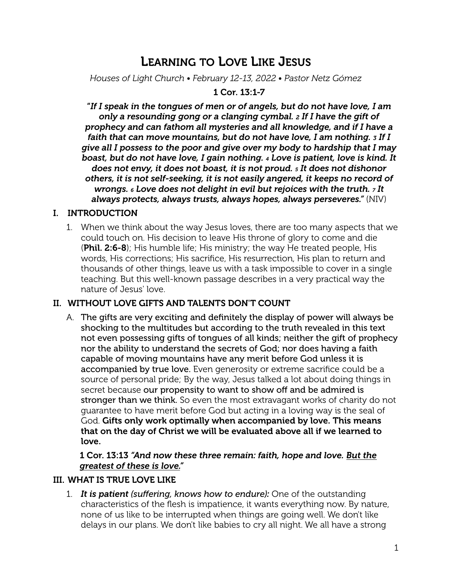# LEARNING TO LOVE LIKE JESUS

*Houses of Light Church • February 12-13, 2022 • Pastor Netz Gómez*

# 1 Cor. 13:1-7

"*If I speak in the tongues of men or of angels, but do not have love, I am only a resounding gong or a clanging cymbal. 2 If I have the gift of prophecy and can fathom all mysteries and all knowledge, and if I have a faith that can move mountains, but do not have love, I am nothing. 3 If I give all I possess to the poor and give over my body to hardship that I may boast, but do not have love, I gain nothing. 4 Love is patient, love is kind. It does not envy, it does not boast, it is not proud. 5 It does not dishonor others, it is not self-seeking, it is not easily angered, it keeps no record of wrongs. 6 Love does not delight in evil but rejoices with the truth. 7 It always protects, always trusts, always hopes, always perseveres."* (NIV)

# I. INTRODUCTION

1. When we think about the way Jesus loves, there are too many aspects that we could touch on. His decision to leave His throne of glory to come and die **(Phil. 2:6-8)**; His humble life; His ministry; the way He treated people, His words, His corrections; His sacrifice, His resurrection, His plan to return and thousands of other things, leave us with a task impossible to cover in a single teaching. But this well-known passage describes in a very practical way the nature of Jesus' love.

# II. WITHOUT LOVE GIFTS AND TALENTS DON'T COUNT

A. The gifts are very exciting and definitely the display of power will always be shocking to the multitudes but according to the truth revealed in this text not even possessing gifts of tongues of all kinds; neither the gift of prophecy nor the ability to understand the secrets of God; nor does having a faith capable of moving mountains have any merit before God unless it is accompanied by true love. Even generosity or extreme sacrifice could be a source of personal pride; By the way, Jesus talked a lot about doing things in secret because our propensity to want to show off and be admired is stronger than we think. So even the most extravagant works of charity do not guarantee to have merit before God but acting in a loving way is the seal of God. Gifts only work optimally when accompanied by love. This means that on the day of Christ we will be evaluated above all if we learned to love.

#### 1 Cor. 13:13 *"And now these three remain: faith, hope and love. But the greatest of these is love."*

#### III. WHAT IS TRUE LOVE LIKE

1. *It is patient (suffering, knows how to endure):* One of the outstanding characteristics of the flesh is impatience, it wants everything now. By nature, none of us like to be interrupted when things are going well. We don't like delays in our plans. We don't like babies to cry all night. We all have a strong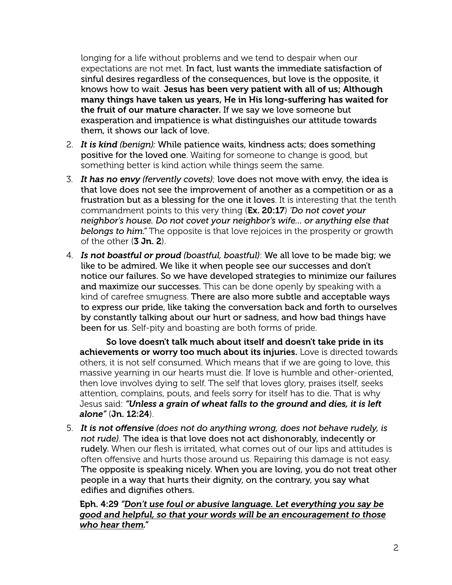longing for a life without problems and we tend to despair when our expectations are not met. In fact, lust wants the immediate satisfaction of sinful desires regardless of the consequences, but love is the opposite, it knows how to wait. Jesus has been very patient with all of us; Although many things have taken us years, He in His long-suffering has waited for the fruit of our mature character. If we say we love someone but exasperation and impatience is what distinguishes our attitude towards them, it shows our lack of love.

- 2. *It is kind (benign):* While patience waits, kindness acts; does something positive for the loved one. Waiting for someone to change is good, but something better is kind action while things seem the same.
- 3. *It has no envy (fervently covets)*; love does not move with envy, the idea is that love does not see the improvement of another as a competition or as a frustration but as a blessing for the one it loves. It is interesting that the tenth commandment points to this very thing (Ex. 20:17) *'Do not covet your neighbor's house. Do not covet your neighbor's wife… or anything else that belongs to him."* The opposite is that love rejoices in the prosperity or growth of the other  $(3 \, \text{Jn. 2})$ .
- 4. *Is not boastful or proud (boastful, boastful)*: We all love to be made big; we like to be admired. We like it when people see our successes and don't notice our failures. So we have developed strategies to minimize our failures and maximize our successes. This can be done openly by speaking with a kind of carefree smugness. There are also more subtle and acceptable ways to express our pride, like taking the conversation back and forth to ourselves by constantly talking about our hurt or sadness, and how bad things have been for us. Self-pity and boasting are both forms of pride.

So love doesn't talk much about itself and doesn't take pride in its achievements or worry too much about its injuries. Love is directed towards others, it is not self consumed. Which means that if we are going to love, this massive yearning in our hearts must die. If love is humble and other-oriented, then love involves dying to self. The self that loves glory, praises itself, seeks attention, complains, pouts, and feels sorry for itself has to die. That is why Jesus said: *"Unless a grain of wheat falls to the ground and dies, it is left alone"* (Jn. 12:24).

5. *It is not offensive (does not do anything wrong, does not behave rudely, is not rude)*. The idea is that love does not act dishonorably, indecently or rudely. When our flesh is irritated, what comes out of our lips and attitudes is often offensive and hurts those around us. Repairing this damage is not easy. The opposite is speaking nicely. When you are loving, you do not treat other people in a way that hurts their dignity, on the contrary, you say what edifies and dignifies others.

Eph. 4:29 *"Don't use foul or abusive language. Let everything you say be good and helpful, so that your words will be an encouragement to those who hear them."*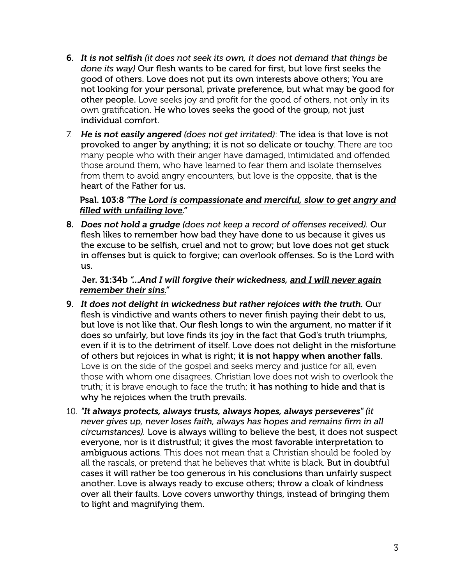- 6. *It is not selfish (it does not seek its own, it does not demand that things be done its way)* Our flesh wants to be cared for first, but love first seeks the good of others. Love does not put its own interests above others; You are not looking for your personal, private preference, but what may be good for other people. Love seeks joy and profit for the good of others, not only in its own gratification. He who loves seeks the good of the group, not just individual comfort.
- 7. *He is not easily angered (does not get irritated)*: The idea is that love is not provoked to anger by anything; it is not so delicate or touchy. There are too many people who with their anger have damaged, intimidated and offended those around them, who have learned to fear them and isolate themselves from them to avoid angry encounters, but love is the opposite, that is the heart of the Father for us.

#### Psal. 103:8 *"The Lord is compassionate and merciful, slow to get angry and filled with unfailing love."*

8. *Does not hold a grudge (does not keep a record of offenses received).* Our flesh likes to remember how bad they have done to us because it gives us the excuse to be selfish, cruel and not to grow; but love does not get stuck in offenses but is quick to forgive; can overlook offenses. So is the Lord with us.

# Jer. 31:34b *"…And I will forgive their wickedness, and I will never again remember their sins."*

- 9. *It does not delight in wickedness but rather rejoices with the truth.* Our flesh is vindictive and wants others to never finish paying their debt to us, but love is not like that. Our flesh longs to win the argument, no matter if it does so unfairly, but love finds its joy in the fact that God's truth triumphs, even if it is to the detriment of itself. Love does not delight in the misfortune of others but rejoices in what is right; it is not happy when another falls. Love is on the side of the gospel and seeks mercy and justice for all, even those with whom one disagrees. Christian love does not wish to overlook the truth; it is brave enough to face the truth; it has nothing to hide and that is why he rejoices when the truth prevails.
- 10. *"It always protects, always trusts, always hopes, always perseveres" (it never gives up, never loses faith, always has hopes and remains firm in all circumstances).* Love is always willing to believe the best, it does not suspect everyone, nor is it distrustful; it gives the most favorable interpretation to ambiguous actions. This does not mean that a Christian should be fooled by all the rascals, or pretend that he believes that white is black. But in doubtful cases it will rather be too generous in his conclusions than unfairly suspect another. Love is always ready to excuse others; throw a cloak of kindness over all their faults. Love covers unworthy things, instead of bringing them to light and magnifying them.